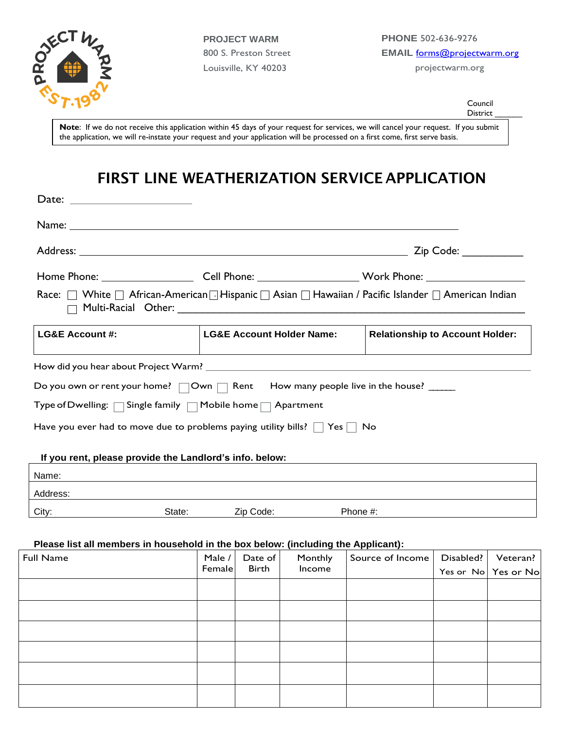

Date:

**PROJECT WARM** 800 S. Preston Street Louisville, KY 40203

Council District

**Note**: If we do not receive this application within 45 days of your request for services, we will cancel your request. If you submit the application, we will re-instate your request and your application will be processed on a first come, first serve basis.

# **FIRST LINE WEATHERIZATION SERVICE APPLICATION**

|                                                                                                     |                                             | Zip Code: ___________                                                                                          |  |  |  |
|-----------------------------------------------------------------------------------------------------|---------------------------------------------|----------------------------------------------------------------------------------------------------------------|--|--|--|
|                                                                                                     |                                             | Home Phone: __________________________Cell Phone: _______________________________ Work Phone: ________________ |  |  |  |
| Race: □ White □ African-American □ Hispanic □ Asian □ Hawaiian / Pacific Islander □ American Indian |                                             |                                                                                                                |  |  |  |
| <b>LG&amp;E Account #:</b>                                                                          | <b>LG&amp;E Account Holder Name:</b>        | <b>Relationship to Account Holder:</b>                                                                         |  |  |  |
|                                                                                                     |                                             |                                                                                                                |  |  |  |
| Do you own or rent your home? $\Box$ Own $\Box$ Rent How many people live in the house? $\Box$      |                                             |                                                                                                                |  |  |  |
| Type of Dwelling: $\Box$ Single family $\Box$ Mobile home $\Box$ Apartment                          |                                             |                                                                                                                |  |  |  |
| Have you ever had to move due to problems paying utility bills? $\Box$ Yes $\Box$ No                |                                             |                                                                                                                |  |  |  |
| If you rent, please provide the Landlord's info. below:                                             |                                             |                                                                                                                |  |  |  |
| Name:                                                                                               | <u> 1980 - Jan James Sandarík (f. 1980)</u> |                                                                                                                |  |  |  |
| Address:                                                                                            |                                             |                                                                                                                |  |  |  |
| State:<br>City:                                                                                     | Phone #:<br>Zip Code:                       |                                                                                                                |  |  |  |

#### **Please list all members in household in the box below: (including the Applicant):**

| <b>Full Name</b> | Male /<br>Female | Date of<br><b>Birth</b> | Monthly<br>Income | Source of Income | Disabled? | Veteran?<br>Yes or No Yes or No |
|------------------|------------------|-------------------------|-------------------|------------------|-----------|---------------------------------|
|                  |                  |                         |                   |                  |           |                                 |
|                  |                  |                         |                   |                  |           |                                 |
|                  |                  |                         |                   |                  |           |                                 |
|                  |                  |                         |                   |                  |           |                                 |
|                  |                  |                         |                   |                  |           |                                 |
|                  |                  |                         |                   |                  |           |                                 |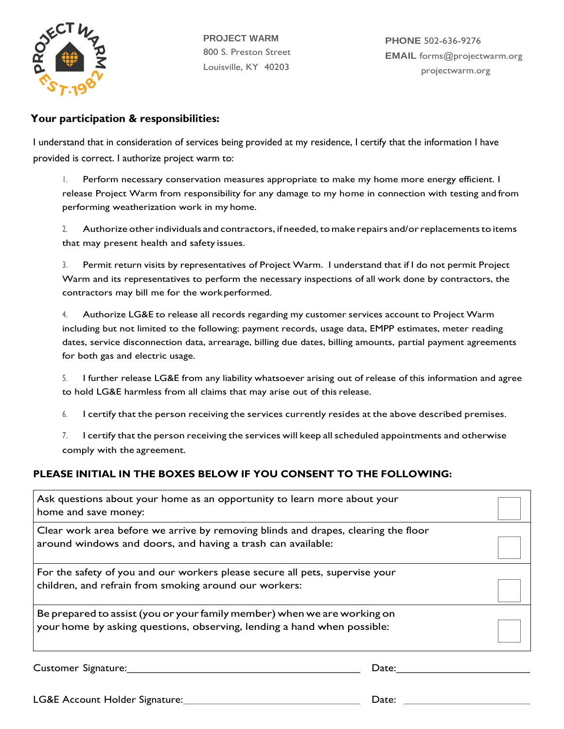

**PROJECT WARM** 800 S. Preston Street Louisville, KY 40203

**PHONE** 502-636-9276 **EMAIL** forms@projectwarm.org projectwarm.org

### **Your participation & responsibilities:**

I understand that in consideration of services being provided at my residence, I certify that the information I have provided is correct. I authorize project warm to:

1. Perform necessary conservation measures appropriate to make my home more energy efficient. I release Project Warm from responsibility for any damage to my home in connection with testing and from performing weatherization work in my home.

2. Authorize other individuals and contractors, if needed, to make repairs and/or replacements to items that may present health and safety issues.

3. Permit return visits by representatives of Project Warm. I understand that if I do not permit Project Warm and its representatives to perform the necessary inspections of all work done by contractors, the contractors may bill me for the workperformed.

4. Authorize LG&E to release all records regarding my customer services account to Project Warm including but not limited to the following: payment records, usage data, EMPP estimates, meter reading dates, service disconnection data, arrearage, billing due dates, billing amounts, partial payment agreements for both gas and electric usage.

5. I further release LG&E from any liability whatsoever arising out of release of this information and agree to hold LG&E harmless from all claims that may arise out of thisrelease.

- 6. I certify that the person receiving the services currently resides at the above described premises.
- 7. I certify that the person receiving the services will keep all scheduled appointments and otherwise comply with the agreement.

### **PLEASE INITIAL IN THE BOXES BELOW IF YOU CONSENT TO THE FOLLOWING:**

| Ask questions about your home as an opportunity to learn more about your<br>home and save money:                                                    |  |
|-----------------------------------------------------------------------------------------------------------------------------------------------------|--|
| Clear work area before we arrive by removing blinds and drapes, clearing the floor<br>around windows and doors, and having a trash can available:   |  |
| For the safety of you and our workers please secure all pets, supervise your<br>children, and refrain from smoking around our workers:              |  |
| Be prepared to assist (you or your family member) when we are working on<br>your home by asking questions, observing, lending a hand when possible: |  |

Customer Signature: 2008 and 2008 and 2008 and 2008 and 2008 and 2008 and 2008 and 2008 and 2008 and 2008 and 2008 and 2008 and 2008 and 2008 and 2008 and 2008 and 2008 and 2008 and 2008 and 2008 and 2008 and 2008 and 2008

LG&E Account Holder Signature: Date: Date: Date: Date: Date: Date: Date: Date: Date: Date: Date: Date: Date: Date: Date: Date: Date: Date: Date: Date: Date: Date: Date: Date: Date: Date: Date: Date: Date: Date: Date: Date: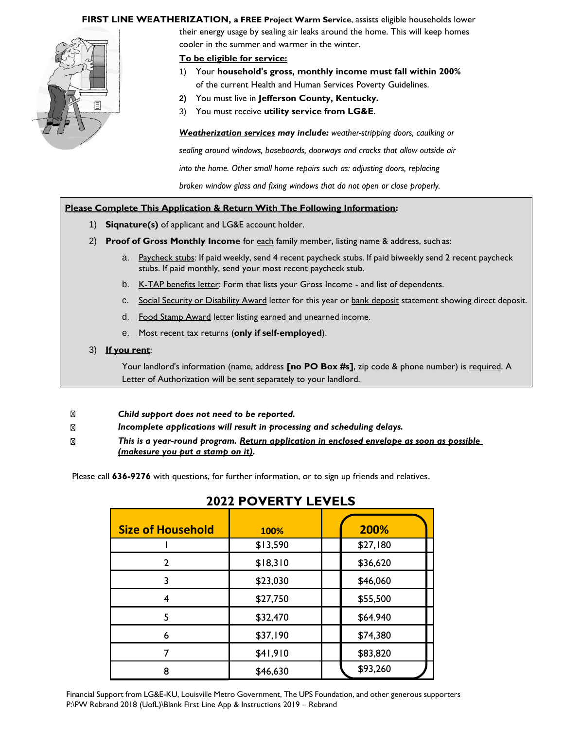#### **FIRST LINE WEATHERIZATION, a FREE Project Warm Service**, assists eligible households lower



their energy usage by sealing air leaks around the home. This will keep homes cooler in the summer and warmer in the winter.

#### **To be eligible for service:**

- 1) Your **household's gross, monthly income must fall within 200%**  of the current Health and Human Services Poverty Guidelines.
- **2)** You must live in **Jefferson County, Kentucky.**
- 3) You must receive **utility service from LG&E**.

*Weatherization services may include: weather-stripping doors, caulking or* 

*sealing around windows, baseboards, doorways and cracks that allow outside air* 

*into the home. Other small home repairs such as: adjusting doors, replacing* 

*broken window glass and fixing windows that do not open or close properly.*

#### **Please Complete This Application & Return With The Following Information:**

- 1) **Siqnature(s)** of applicant and LG&E account holder.
- 2) **Proof of Gross Monthly Income** for each family member, listing name & address, such as:
	- a. Paycheck stubs: If paid weekly, send 4 recent paycheck stubs. If paid biweekly send 2 recent paycheck stubs. If paid monthly, send your most recent paycheck stub.
	- b. K-TAP benefits letter: Form that lists your Gross Income and list of dependents.
	- c. Social Security or Disability Award letter for this year or bank deposit statement showing direct deposit.
	- d. Food Stamp Award letter listing earned and unearned income.
	- e. Most recent tax returns (**only if self-employed**).

#### 3) **If you rent**:

Your landlord's information (name, address **[no PO Box #s]**, zip code & phone number) is required. A Letter of Authorization will be sent separately to your landlord.

- $\nabla$ *Child support does not need to be reported.*
- *Incomplete applications will result in processing and scheduling delays.*  $\nabla$
- *This is a year-round program. Return application in enclosed envelope as soon as possible*  ⊠ *(makesure you put a stamp on it).*

Please call **636-9276** with questions, for further information, or to sign up friends and relatives.

| <b>Size of Household</b> | 100%     | 200%     |  |  |
|--------------------------|----------|----------|--|--|
|                          | \$13,590 | \$27,180 |  |  |
| $\mathcal{P}$            | \$18,310 | \$36,620 |  |  |
| 3                        | \$23,030 | \$46,060 |  |  |
|                          | \$27,750 | \$55,500 |  |  |
| 5                        | \$32,470 | \$64.940 |  |  |
| 6                        | \$37,190 | \$74,380 |  |  |
|                          | \$41,910 | \$83,820 |  |  |
| 8                        | \$46,630 | \$93,260 |  |  |

### **2022 POVERTY LEVELS**

Financial Support from LG&E-KU, Louisville Metro Government, The UPS Foundation, and other generous supporters P:\PW Rebrand 2018 (UofL)\Blank First Line App & Instructions 2019 – Rebrand